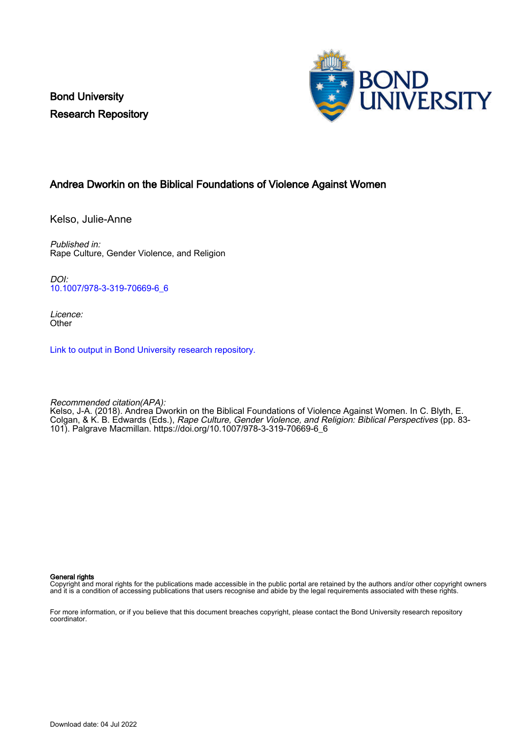Bond University Research Repository



## Andrea Dworkin on the Biblical Foundations of Violence Against Women

Kelso, Julie-Anne

Published in: Rape Culture, Gender Violence, and Religion

DOI: [10.1007/978-3-319-70669-6\\_6](https://doi.org/10.1007/978-3-319-70669-6_6)

Licence: **Other** 

[Link to output in Bond University research repository.](https://research.bond.edu.au/en/publications/f578305b-7178-4fa4-9fc8-c24a44493f54)

Recommended citation(APA):

Kelso, J-A. (2018). Andrea Dworkin on the Biblical Foundations of Violence Against Women. In C. Blyth, E. Colgan, & K. B. Edwards (Eds.), Rape Culture, Gender Violence, and Religion: Biblical Perspectives (pp. 83- 101). Palgrave Macmillan. [https://doi.org/10.1007/978-3-319-70669-6\\_6](https://doi.org/10.1007/978-3-319-70669-6_6)

#### General rights

Copyright and moral rights for the publications made accessible in the public portal are retained by the authors and/or other copyright owners and it is a condition of accessing publications that users recognise and abide by the legal requirements associated with these rights.

For more information, or if you believe that this document breaches copyright, please contact the Bond University research repository coordinator.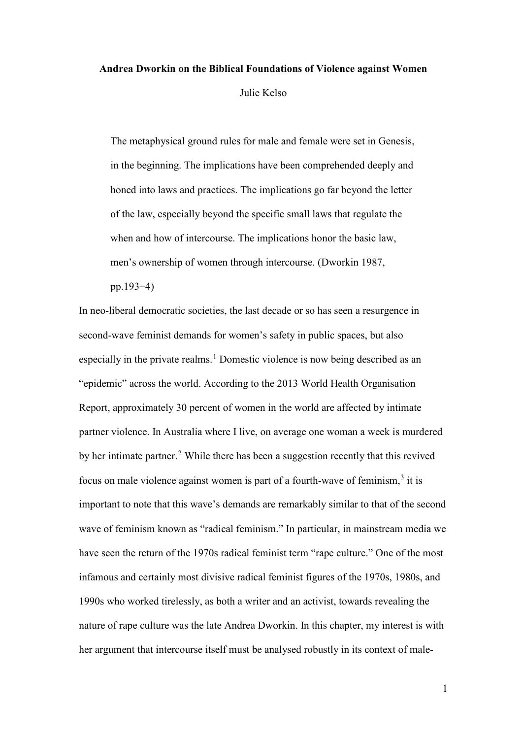# **Andrea Dworkin on the Biblical Foundations of Violence against Women** Julie Kelso

The metaphysical ground rules for male and female were set in Genesis, in the beginning. The implications have been comprehended deeply and honed into laws and practices. The implications go far beyond the letter of the law, especially beyond the specific small laws that regulate the when and how of intercourse. The implications honor the basic law, men's ownership of women through intercourse. (Dworkin 1987,

pp.193−4)

In neo-liberal democratic societies, the last decade or so has seen a resurgence in second-wave feminist demands for women's safety in public spaces, but also especially in the private realms.<sup>[1](#page-23-0)</sup> Domestic violence is now being described as an "epidemic" across the world. According to the 2013 World Health Organisation Report, approximately 30 percent of women in the world are affected by intimate partner violence. In Australia where I live, on average one woman a week is murdered by her intimate partner.<sup>[2](#page-23-1)</sup> While there has been a suggestion recently that this revived focus on male violence against women is part of a fourth-wave of feminism, $3$  it is important to note that this wave's demands are remarkably similar to that of the second wave of feminism known as "radical feminism." In particular, in mainstream media we have seen the return of the 1970s radical feminist term "rape culture." One of the most infamous and certainly most divisive radical feminist figures of the 1970s, 1980s, and 1990s who worked tirelessly, as both a writer and an activist, towards revealing the nature of rape culture was the late Andrea Dworkin. In this chapter, my interest is with her argument that intercourse itself must be analysed robustly in its context of male-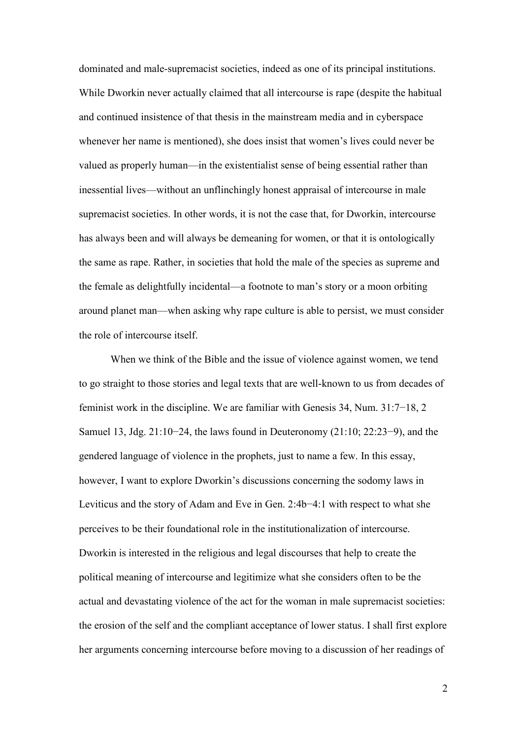dominated and male-supremacist societies, indeed as one of its principal institutions. While Dworkin never actually claimed that all intercourse is rape (despite the habitual and continued insistence of that thesis in the mainstream media and in cyberspace whenever her name is mentioned), she does insist that women's lives could never be valued as properly human—in the existentialist sense of being essential rather than inessential lives—without an unflinchingly honest appraisal of intercourse in male supremacist societies. In other words, it is not the case that, for Dworkin, intercourse has always been and will always be demeaning for women, or that it is ontologically the same as rape. Rather, in societies that hold the male of the species as supreme and the female as delightfully incidental—a footnote to man's story or a moon orbiting around planet man—when asking why rape culture is able to persist, we must consider the role of intercourse itself.

When we think of the Bible and the issue of violence against women, we tend to go straight to those stories and legal texts that are well-known to us from decades of feminist work in the discipline. We are familiar with Genesis 34, Num. 31:7−18, 2 Samuel 13, Jdg. 21:10−24, the laws found in Deuteronomy (21:10; 22:23−9), and the gendered language of violence in the prophets, just to name a few. In this essay, however, I want to explore Dworkin's discussions concerning the sodomy laws in Leviticus and the story of Adam and Eve in Gen. 2:4b−4:1 with respect to what she perceives to be their foundational role in the institutionalization of intercourse. Dworkin is interested in the religious and legal discourses that help to create the political meaning of intercourse and legitimize what she considers often to be the actual and devastating violence of the act for the woman in male supremacist societies: the erosion of the self and the compliant acceptance of lower status. I shall first explore her arguments concerning intercourse before moving to a discussion of her readings of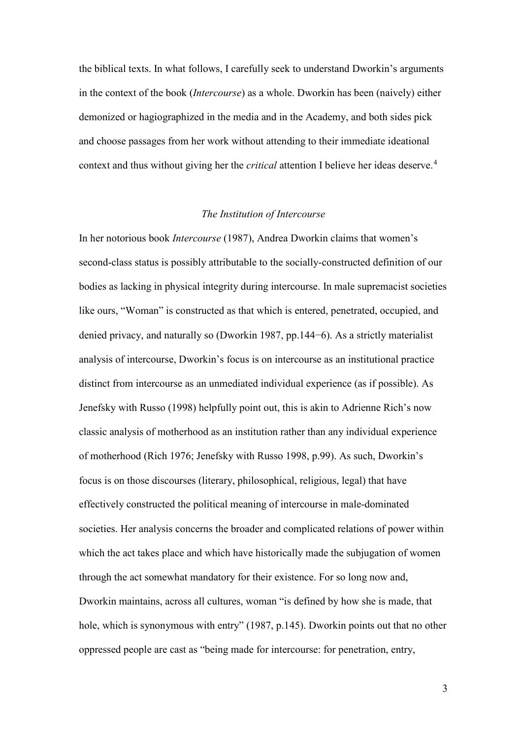the biblical texts. In what follows, I carefully seek to understand Dworkin's arguments in the context of the book (*Intercourse*) as a whole. Dworkin has been (naively) either demonized or hagiographized in the media and in the Academy, and both sides pick and choose passages from her work without attending to their immediate ideational context and thus without giving her the *critical* attention I believe her ideas deserve.<sup>[4](#page-23-3)</sup>

#### *The Institution of Intercourse*

In her notorious book *Intercourse* (1987), Andrea Dworkin claims that women's second-class status is possibly attributable to the socially-constructed definition of our bodies as lacking in physical integrity during intercourse. In male supremacist societies like ours, "Woman" is constructed as that which is entered, penetrated, occupied, and denied privacy, and naturally so (Dworkin 1987, pp.144−6). As a strictly materialist analysis of intercourse, Dworkin's focus is on intercourse as an institutional practice distinct from intercourse as an unmediated individual experience (as if possible). As Jenefsky with Russo (1998) helpfully point out, this is akin to Adrienne Rich's now classic analysis of motherhood as an institution rather than any individual experience of motherhood (Rich 1976; Jenefsky with Russo 1998, p.99). As such, Dworkin's focus is on those discourses (literary, philosophical, religious, legal) that have effectively constructed the political meaning of intercourse in male-dominated societies. Her analysis concerns the broader and complicated relations of power within which the act takes place and which have historically made the subjugation of women through the act somewhat mandatory for their existence. For so long now and, Dworkin maintains, across all cultures, woman "is defined by how she is made, that hole, which is synonymous with entry" (1987, p.145). Dworkin points out that no other oppressed people are cast as "being made for intercourse: for penetration, entry,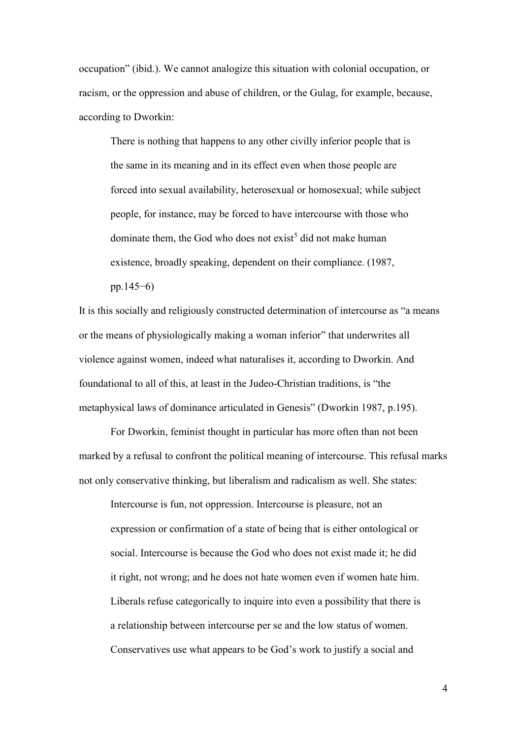occupation" (ibid.). We cannot analogize this situation with colonial occupation, or racism, or the oppression and abuse of children, or the Gulag, for example, because, according to Dworkin:

There is nothing that happens to any other civilly inferior people that is the same in its meaning and in its effect even when those people are forced into sexual availability, heterosexual or homosexual; while subject people, for instance, may be forced to have intercourse with those who dominate them, the God who does not exist<sup>[5](#page-23-4)</sup> did not make human existence, broadly speaking, dependent on their compliance. (1987,

pp.145−6)

It is this socially and religiously constructed determination of intercourse as "a means or the means of physiologically making a woman inferior" that underwrites all violence against women, indeed what naturalises it, according to Dworkin. And foundational to all of this, at least in the Judeo-Christian traditions, is "the metaphysical laws of dominance articulated in Genesis" (Dworkin 1987, p.195).

For Dworkin, feminist thought in particular has more often than not been marked by a refusal to confront the political meaning of intercourse. This refusal marks not only conservative thinking, but liberalism and radicalism as well. She states:

Intercourse is fun, not oppression. Intercourse is pleasure, not an expression or confirmation of a state of being that is either ontological or social. Intercourse is because the God who does not exist made it; he did it right, not wrong; and he does not hate women even if women hate him. Liberals refuse categorically to inquire into even a possibility that there is a relationship between intercourse per se and the low status of women. Conservatives use what appears to be God's work to justify a social and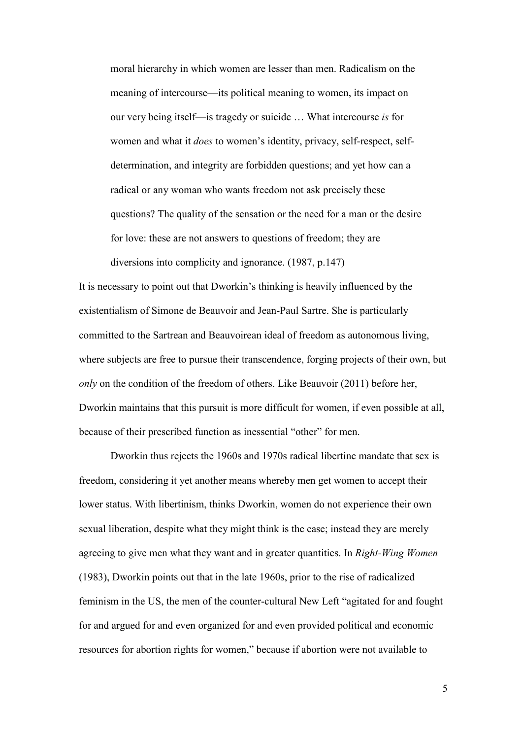moral hierarchy in which women are lesser than men. Radicalism on the meaning of intercourse—its political meaning to women, its impact on our very being itself—is tragedy or suicide … What intercourse *is* for women and what it *does* to women's identity, privacy, self-respect, selfdetermination, and integrity are forbidden questions; and yet how can a radical or any woman who wants freedom not ask precisely these questions? The quality of the sensation or the need for a man or the desire for love: these are not answers to questions of freedom; they are diversions into complicity and ignorance. (1987, p.147)

It is necessary to point out that Dworkin's thinking is heavily influenced by the existentialism of Simone de Beauvoir and Jean-Paul Sartre. She is particularly committed to the Sartrean and Beauvoirean ideal of freedom as autonomous living, where subjects are free to pursue their transcendence, forging projects of their own, but *only* on the condition of the freedom of others. Like Beauvoir (2011) before her, Dworkin maintains that this pursuit is more difficult for women, if even possible at all, because of their prescribed function as inessential "other" for men.

Dworkin thus rejects the 1960s and 1970s radical libertine mandate that sex is freedom, considering it yet another means whereby men get women to accept their lower status. With libertinism, thinks Dworkin, women do not experience their own sexual liberation, despite what they might think is the case; instead they are merely agreeing to give men what they want and in greater quantities. In *Right-Wing Women* (1983), Dworkin points out that in the late 1960s, prior to the rise of radicalized feminism in the US, the men of the counter-cultural New Left "agitated for and fought for and argued for and even organized for and even provided political and economic resources for abortion rights for women," because if abortion were not available to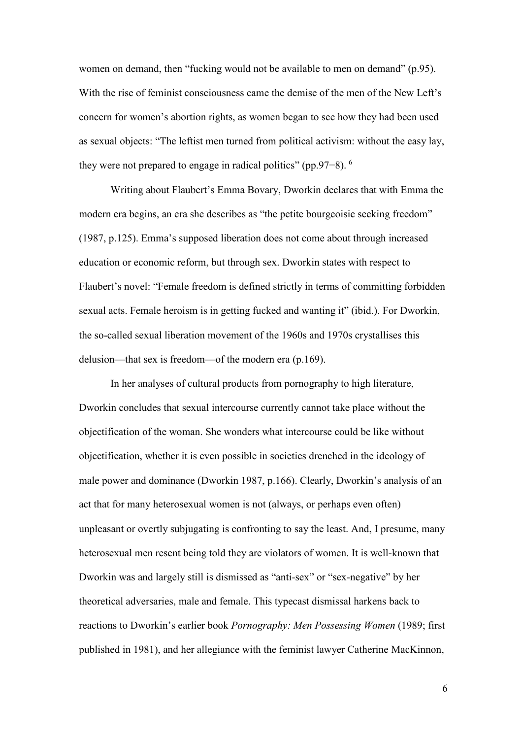women on demand, then "fucking would not be available to men on demand" (p.95). With the rise of feminist consciousness came the demise of the men of the New Left's concern for women's abortion rights, as women began to see how they had been used as sexual objects: "The leftist men turned from political activism: without the easy lay, they were not prepared to engage in radical politics" (pp.97−8). [6](#page-23-5)

Writing about Flaubert's Emma Bovary, Dworkin declares that with Emma the modern era begins, an era she describes as "the petite bourgeoisie seeking freedom" (1987, p.125). Emma's supposed liberation does not come about through increased education or economic reform, but through sex. Dworkin states with respect to Flaubert's novel: "Female freedom is defined strictly in terms of committing forbidden sexual acts. Female heroism is in getting fucked and wanting it" (ibid.). For Dworkin, the so-called sexual liberation movement of the 1960s and 1970s crystallises this delusion—that sex is freedom—of the modern era (p.169).

In her analyses of cultural products from pornography to high literature, Dworkin concludes that sexual intercourse currently cannot take place without the objectification of the woman. She wonders what intercourse could be like without objectification, whether it is even possible in societies drenched in the ideology of male power and dominance (Dworkin 1987, p.166). Clearly, Dworkin's analysis of an act that for many heterosexual women is not (always, or perhaps even often) unpleasant or overtly subjugating is confronting to say the least. And, I presume, many heterosexual men resent being told they are violators of women. It is well-known that Dworkin was and largely still is dismissed as "anti-sex" or "sex-negative" by her theoretical adversaries, male and female. This typecast dismissal harkens back to reactions to Dworkin's earlier book *Pornography: Men Possessing Women* (1989; first published in 1981), and her allegiance with the feminist lawyer Catherine MacKinnon,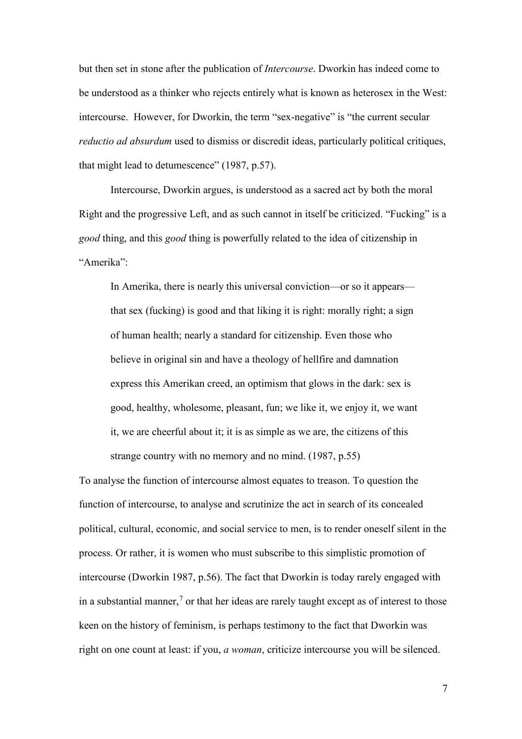but then set in stone after the publication of *Intercourse*. Dworkin has indeed come to be understood as a thinker who rejects entirely what is known as heterosex in the West: intercourse. However, for Dworkin, the term "sex-negative" is "the current secular *reductio ad absurdum* used to dismiss or discredit ideas, particularly political critiques, that might lead to detumescence" (1987, p.57).

Intercourse, Dworkin argues, is understood as a sacred act by both the moral Right and the progressive Left, and as such cannot in itself be criticized. "Fucking" is a *good* thing, and this *good* thing is powerfully related to the idea of citizenship in "Amerika":

In Amerika, there is nearly this universal conviction—or so it appears that sex (fucking) is good and that liking it is right: morally right; a sign of human health; nearly a standard for citizenship. Even those who believe in original sin and have a theology of hellfire and damnation express this Amerikan creed, an optimism that glows in the dark: sex is good, healthy, wholesome, pleasant, fun; we like it, we enjoy it, we want it, we are cheerful about it; it is as simple as we are, the citizens of this strange country with no memory and no mind. (1987, p.55)

To analyse the function of intercourse almost equates to treason. To question the function of intercourse, to analyse and scrutinize the act in search of its concealed political, cultural, economic, and social service to men, is to render oneself silent in the process. Or rather, it is women who must subscribe to this simplistic promotion of intercourse (Dworkin 1987, p.56). The fact that Dworkin is today rarely engaged with in a substantial manner,<sup>[7](#page-23-6)</sup> or that her ideas are rarely taught except as of interest to those keen on the history of feminism, is perhaps testimony to the fact that Dworkin was right on one count at least: if you, *a woman*, criticize intercourse you will be silenced.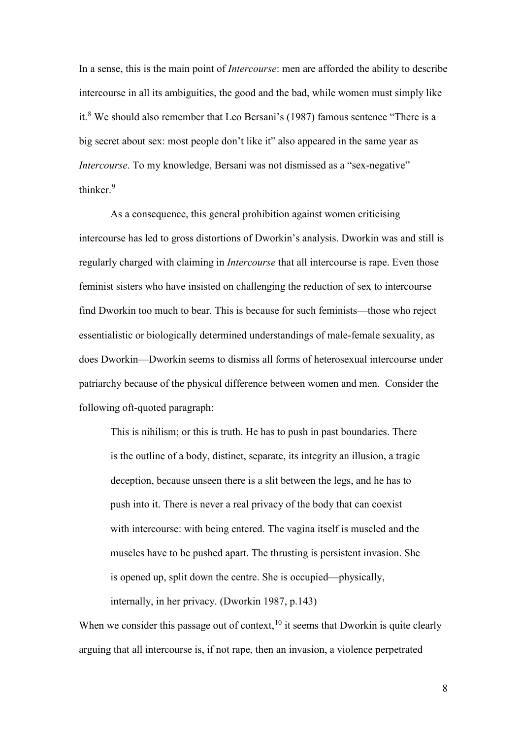In a sense, this is the main point of *Intercourse*: men are afforded the ability to describe intercourse in all its ambiguities, the good and the bad, while women must simply like it.<sup>[8](#page-23-7)</sup> We should also remember that Leo Bersani's (1987) famous sentence "There is a big secret about sex: most people don't like it" also appeared in the same year as *Intercourse*. To my knowledge, Bersani was not dismissed as a "sex-negative" thinker.<sup>[9](#page-23-8)</sup>

As a consequence, this general prohibition against women criticising intercourse has led to gross distortions of Dworkin's analysis. Dworkin was and still is regularly charged with claiming in *Intercourse* that all intercourse is rape. Even those feminist sisters who have insisted on challenging the reduction of sex to intercourse find Dworkin too much to bear. This is because for such feminists—those who reject essentialistic or biologically determined understandings of male-female sexuality, as does Dworkin—Dworkin seems to dismiss all forms of heterosexual intercourse under patriarchy because of the physical difference between women and men. Consider the following oft-quoted paragraph:

This is nihilism; or this is truth. He has to push in past boundaries. There is the outline of a body, distinct, separate, its integrity an illusion, a tragic deception, because unseen there is a slit between the legs, and he has to push into it. There is never a real privacy of the body that can coexist with intercourse: with being entered. The vagina itself is muscled and the muscles have to be pushed apart. The thrusting is persistent invasion. She is opened up, split down the centre. She is occupied—physically, internally, in her privacy. (Dworkin 1987, p.143)

When we consider this passage out of context,  $10$  it seems that Dworkin is quite clearly arguing that all intercourse is, if not rape, then an invasion, a violence perpetrated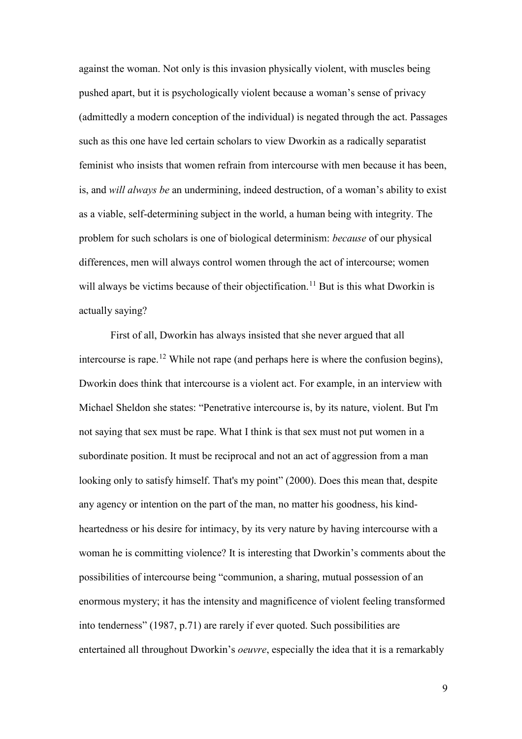against the woman. Not only is this invasion physically violent, with muscles being pushed apart, but it is psychologically violent because a woman's sense of privacy (admittedly a modern conception of the individual) is negated through the act. Passages such as this one have led certain scholars to view Dworkin as a radically separatist feminist who insists that women refrain from intercourse with men because it has been, is, and *will always be* an undermining, indeed destruction, of a woman's ability to exist as a viable, self-determining subject in the world, a human being with integrity. The problem for such scholars is one of biological determinism: *because* of our physical differences, men will always control women through the act of intercourse; women will always be victims because of their objectification.<sup>[11](#page-23-10)</sup> But is this what Dworkin is actually saying?

First of all, Dworkin has always insisted that she never argued that all intercourse is rape.<sup>[12](#page-23-11)</sup> While not rape (and perhaps here is where the confusion begins), Dworkin does think that intercourse is a violent act. For example, in an interview with Michael Sheldon she states: "Penetrative intercourse is, by its nature, violent. But I'm not saying that sex must be rape. What I think is that sex must not put women in a subordinate position. It must be reciprocal and not an act of aggression from a man looking only to satisfy himself. That's my point" (2000). Does this mean that, despite any agency or intention on the part of the man, no matter his goodness, his kindheartedness or his desire for intimacy, by its very nature by having intercourse with a woman he is committing violence? It is interesting that Dworkin's comments about the possibilities of intercourse being "communion, a sharing, mutual possession of an enormous mystery; it has the intensity and magnificence of violent feeling transformed into tenderness" (1987, p.71) are rarely if ever quoted. Such possibilities are entertained all throughout Dworkin's *oeuvre*, especially the idea that it is a remarkably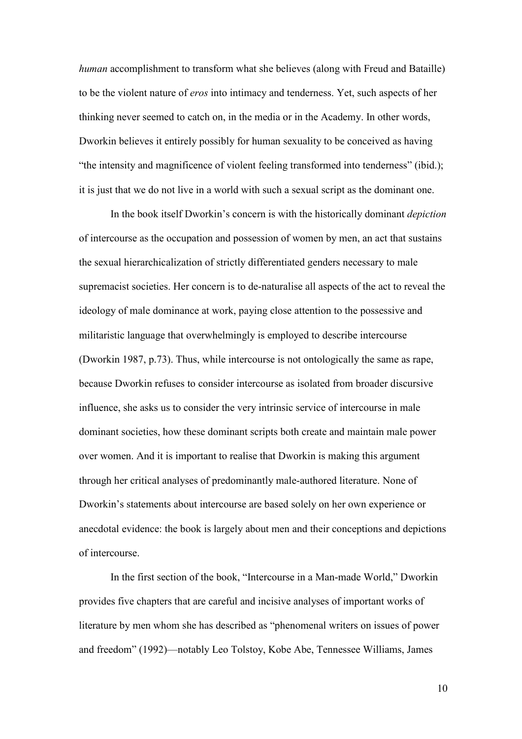*human* accomplishment to transform what she believes (along with Freud and Bataille) to be the violent nature of *eros* into intimacy and tenderness. Yet, such aspects of her thinking never seemed to catch on, in the media or in the Academy. In other words, Dworkin believes it entirely possibly for human sexuality to be conceived as having "the intensity and magnificence of violent feeling transformed into tenderness" (ibid.); it is just that we do not live in a world with such a sexual script as the dominant one.

In the book itself Dworkin's concern is with the historically dominant *depiction* of intercourse as the occupation and possession of women by men, an act that sustains the sexual hierarchicalization of strictly differentiated genders necessary to male supremacist societies. Her concern is to de-naturalise all aspects of the act to reveal the ideology of male dominance at work, paying close attention to the possessive and militaristic language that overwhelmingly is employed to describe intercourse (Dworkin 1987, p.73). Thus, while intercourse is not ontologically the same as rape, because Dworkin refuses to consider intercourse as isolated from broader discursive influence, she asks us to consider the very intrinsic service of intercourse in male dominant societies, how these dominant scripts both create and maintain male power over women. And it is important to realise that Dworkin is making this argument through her critical analyses of predominantly male-authored literature. None of Dworkin's statements about intercourse are based solely on her own experience or anecdotal evidence: the book is largely about men and their conceptions and depictions of intercourse.

In the first section of the book, "Intercourse in a Man-made World," Dworkin provides five chapters that are careful and incisive analyses of important works of literature by men whom she has described as "phenomenal writers on issues of power and freedom" (1992)—notably Leo Tolstoy, Kobe Abe, Tennessee Williams, James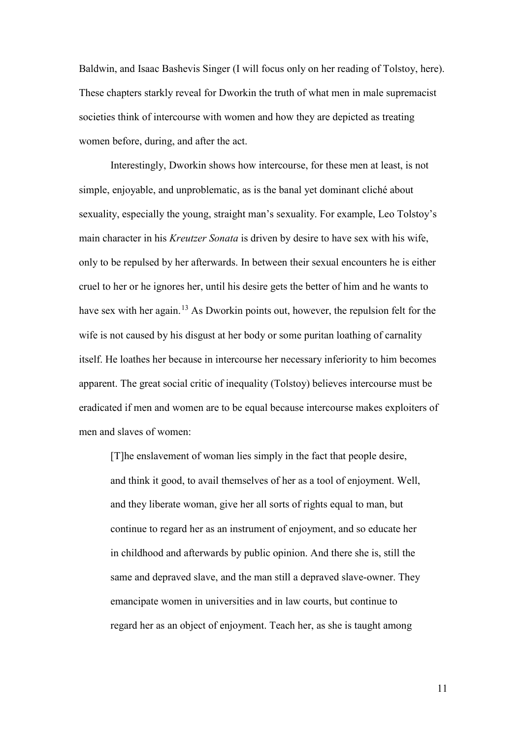Baldwin, and Isaac Bashevis Singer (I will focus only on her reading of Tolstoy, here). These chapters starkly reveal for Dworkin the truth of what men in male supremacist societies think of intercourse with women and how they are depicted as treating women before, during, and after the act.

Interestingly, Dworkin shows how intercourse, for these men at least, is not simple, enjoyable, and unproblematic, as is the banal yet dominant cliché about sexuality, especially the young, straight man's sexuality. For example, Leo Tolstoy's main character in his *Kreutzer Sonata* is driven by desire to have sex with his wife, only to be repulsed by her afterwards. In between their sexual encounters he is either cruel to her or he ignores her, until his desire gets the better of him and he wants to have sex with her again.<sup>[13](#page-24-0)</sup> As Dworkin points out, however, the repulsion felt for the wife is not caused by his disgust at her body or some puritan loathing of carnality itself. He loathes her because in intercourse her necessary inferiority to him becomes apparent. The great social critic of inequality (Tolstoy) believes intercourse must be eradicated if men and women are to be equal because intercourse makes exploiters of men and slaves of women:

[T]he enslavement of woman lies simply in the fact that people desire, and think it good, to avail themselves of her as a tool of enjoyment. Well, and they liberate woman, give her all sorts of rights equal to man, but continue to regard her as an instrument of enjoyment, and so educate her in childhood and afterwards by public opinion. And there she is, still the same and depraved slave, and the man still a depraved slave-owner. They emancipate women in universities and in law courts, but continue to regard her as an object of enjoyment. Teach her, as she is taught among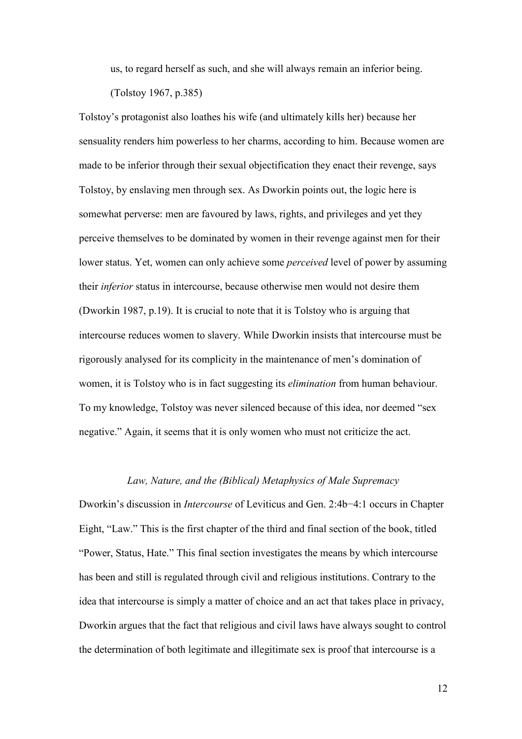us, to regard herself as such, and she will always remain an inferior being. (Tolstoy 1967, p.385)

Tolstoy's protagonist also loathes his wife (and ultimately kills her) because her sensuality renders him powerless to her charms, according to him. Because women are made to be inferior through their sexual objectification they enact their revenge, says Tolstoy, by enslaving men through sex. As Dworkin points out, the logic here is somewhat perverse: men are favoured by laws, rights, and privileges and yet they perceive themselves to be dominated by women in their revenge against men for their lower status. Yet, women can only achieve some *perceived* level of power by assuming their *inferior* status in intercourse, because otherwise men would not desire them (Dworkin 1987, p.19). It is crucial to note that it is Tolstoy who is arguing that intercourse reduces women to slavery. While Dworkin insists that intercourse must be rigorously analysed for its complicity in the maintenance of men's domination of women, it is Tolstoy who is in fact suggesting its *elimination* from human behaviour. To my knowledge, Tolstoy was never silenced because of this idea, nor deemed "sex negative." Again, it seems that it is only women who must not criticize the act.

### *Law, Nature, and the (Biblical) Metaphysics of Male Supremacy*

Dworkin's discussion in *Intercourse* of Leviticus and Gen. 2:4b−4:1 occurs in Chapter Eight, "Law." This is the first chapter of the third and final section of the book, titled "Power, Status, Hate." This final section investigates the means by which intercourse has been and still is regulated through civil and religious institutions. Contrary to the idea that intercourse is simply a matter of choice and an act that takes place in privacy, Dworkin argues that the fact that religious and civil laws have always sought to control the determination of both legitimate and illegitimate sex is proof that intercourse is a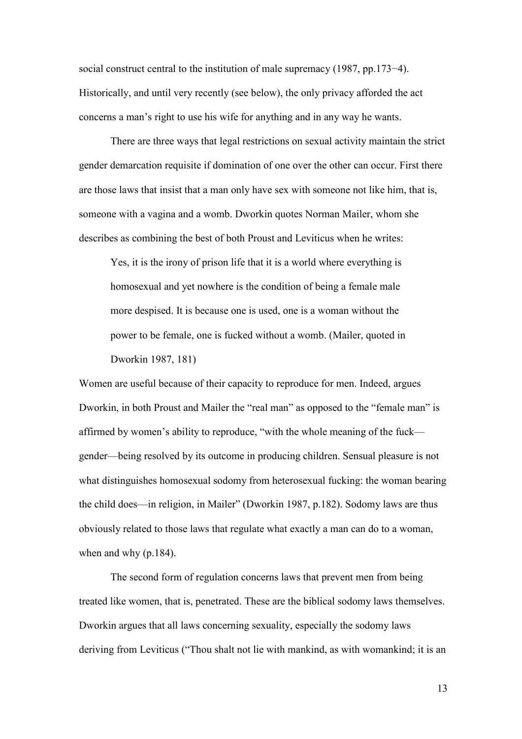social construct central to the institution of male supremacy (1987, pp.173−4). Historically, and until very recently (see below), the only privacy afforded the act concerns a man's right to use his wife for anything and in any way he wants.

There are three ways that legal restrictions on sexual activity maintain the strict gender demarcation requisite if domination of one over the other can occur. First there are those laws that insist that a man only have sex with someone not like him, that is, someone with a vagina and a womb. Dworkin quotes Norman Mailer, whom she describes as combining the best of both Proust and Leviticus when he writes:

Yes, it is the irony of prison life that it is a world where everything is homosexual and yet nowhere is the condition of being a female male more despised. It is because one is used, one is a woman without the power to be female, one is fucked without a womb. (Mailer, quoted in Dworkin 1987, 181)

Women are useful because of their capacity to reproduce for men. Indeed, argues Dworkin, in both Proust and Mailer the "real man" as opposed to the "female man" is affirmed by women's ability to reproduce, "with the whole meaning of the fuck gender—being resolved by its outcome in producing children. Sensual pleasure is not what distinguishes homosexual sodomy from heterosexual fucking: the woman bearing the child does—in religion, in Mailer" (Dworkin 1987, p.182). Sodomy laws are thus obviously related to those laws that regulate what exactly a man can do to a woman, when and why (p.184).

The second form of regulation concerns laws that prevent men from being treated like women, that is, penetrated. These are the biblical sodomy laws themselves. Dworkin argues that all laws concerning sexuality, especially the sodomy laws deriving from Leviticus ("Thou shalt not lie with mankind, as with womankind; it is an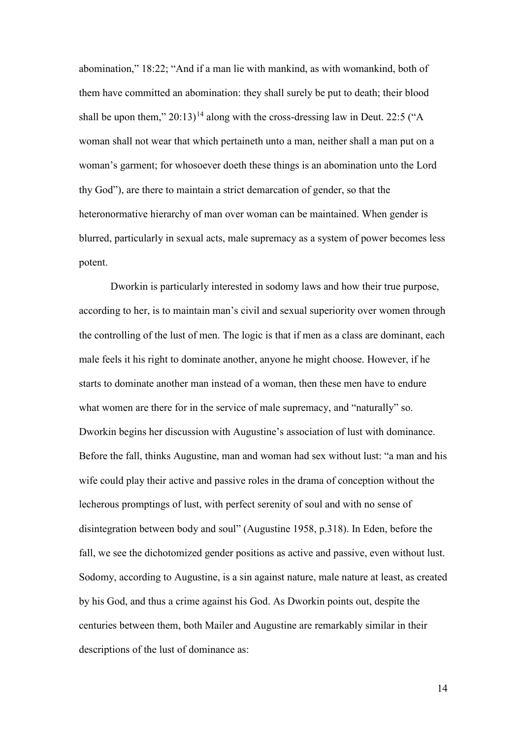abomination," 18:22; "And if a man lie with mankind, as with womankind, both of them have committed an abomination: they shall surely be put to death; their blood shall be upon them,"  $20:13$ <sup>[14](#page-24-1)</sup> along with the cross-dressing law in Deut. 22:5 ("A woman shall not wear that which pertaineth unto a man, neither shall a man put on a woman's garment; for whosoever doeth these things is an abomination unto the Lord thy God"), are there to maintain a strict demarcation of gender, so that the heteronormative hierarchy of man over woman can be maintained. When gender is blurred, particularly in sexual acts, male supremacy as a system of power becomes less potent.

Dworkin is particularly interested in sodomy laws and how their true purpose, according to her, is to maintain man's civil and sexual superiority over women through the controlling of the lust of men. The logic is that if men as a class are dominant, each male feels it his right to dominate another, anyone he might choose. However, if he starts to dominate another man instead of a woman, then these men have to endure what women are there for in the service of male supremacy, and "naturally" so. Dworkin begins her discussion with Augustine's association of lust with dominance. Before the fall, thinks Augustine, man and woman had sex without lust: "a man and his wife could play their active and passive roles in the drama of conception without the lecherous promptings of lust, with perfect serenity of soul and with no sense of disintegration between body and soul" (Augustine 1958, p.318). In Eden, before the fall, we see the dichotomized gender positions as active and passive, even without lust. Sodomy, according to Augustine, is a sin against nature, male nature at least, as created by his God, and thus a crime against his God. As Dworkin points out, despite the centuries between them, both Mailer and Augustine are remarkably similar in their descriptions of the lust of dominance as: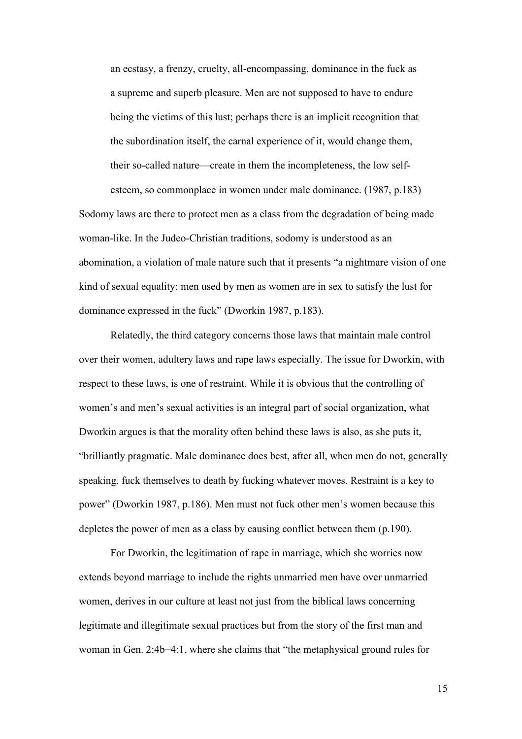an ecstasy, a frenzy, cruelty, all-encompassing, dominance in the fuck as a supreme and superb pleasure. Men are not supposed to have to endure being the victims of this lust; perhaps there is an implicit recognition that the subordination itself, the carnal experience of it, would change them, their so-called nature—create in them the incompleteness, the low self-

esteem, so commonplace in women under male dominance. (1987, p.183) Sodomy laws are there to protect men as a class from the degradation of being made woman-like. In the Judeo-Christian traditions, sodomy is understood as an abomination, a violation of male nature such that it presents "a nightmare vision of one kind of sexual equality: men used by men as women are in sex to satisfy the lust for dominance expressed in the fuck" (Dworkin 1987, p.183).

Relatedly, the third category concerns those laws that maintain male control over their women, adultery laws and rape laws especially. The issue for Dworkin, with respect to these laws, is one of restraint. While it is obvious that the controlling of women's and men's sexual activities is an integral part of social organization, what Dworkin argues is that the morality often behind these laws is also, as she puts it, "brilliantly pragmatic. Male dominance does best, after all, when men do not, generally speaking, fuck themselves to death by fucking whatever moves. Restraint is a key to power" (Dworkin 1987, p.186). Men must not fuck other men's women because this depletes the power of men as a class by causing conflict between them (p.190).

For Dworkin, the legitimation of rape in marriage, which she worries now extends beyond marriage to include the rights unmarried men have over unmarried women, derives in our culture at least not just from the biblical laws concerning legitimate and illegitimate sexual practices but from the story of the first man and woman in Gen. 2:4b−4:1, where she claims that "the metaphysical ground rules for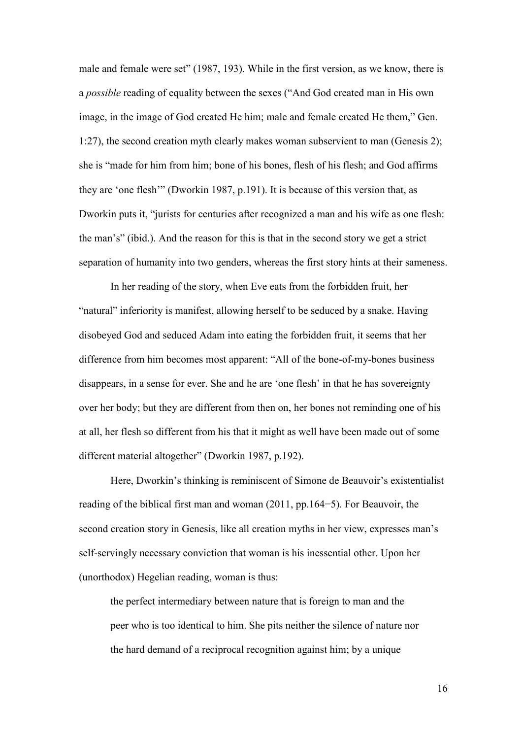male and female were set" (1987, 193). While in the first version, as we know, there is a *possible* reading of equality between the sexes ("And God created man in His own image, in the image of God created He him; male and female created He them," Gen. 1:27), the second creation myth clearly makes woman subservient to man (Genesis 2); she is "made for him from him; bone of his bones, flesh of his flesh; and God affirms they are 'one flesh'" (Dworkin 1987, p.191). It is because of this version that, as Dworkin puts it, "jurists for centuries after recognized a man and his wife as one flesh: the man's" (ibid.). And the reason for this is that in the second story we get a strict separation of humanity into two genders, whereas the first story hints at their sameness.

In her reading of the story, when Eve eats from the forbidden fruit, her "natural" inferiority is manifest, allowing herself to be seduced by a snake. Having disobeyed God and seduced Adam into eating the forbidden fruit, it seems that her difference from him becomes most apparent: "All of the bone-of-my-bones business disappears, in a sense for ever. She and he are 'one flesh' in that he has sovereignty over her body; but they are different from then on, her bones not reminding one of his at all, her flesh so different from his that it might as well have been made out of some different material altogether" (Dworkin 1987, p.192).

Here, Dworkin's thinking is reminiscent of Simone de Beauvoir's existentialist reading of the biblical first man and woman (2011, pp.164−5). For Beauvoir, the second creation story in Genesis, like all creation myths in her view, expresses man's self-servingly necessary conviction that woman is his inessential other. Upon her (unorthodox) Hegelian reading, woman is thus:

the perfect intermediary between nature that is foreign to man and the peer who is too identical to him. She pits neither the silence of nature nor the hard demand of a reciprocal recognition against him; by a unique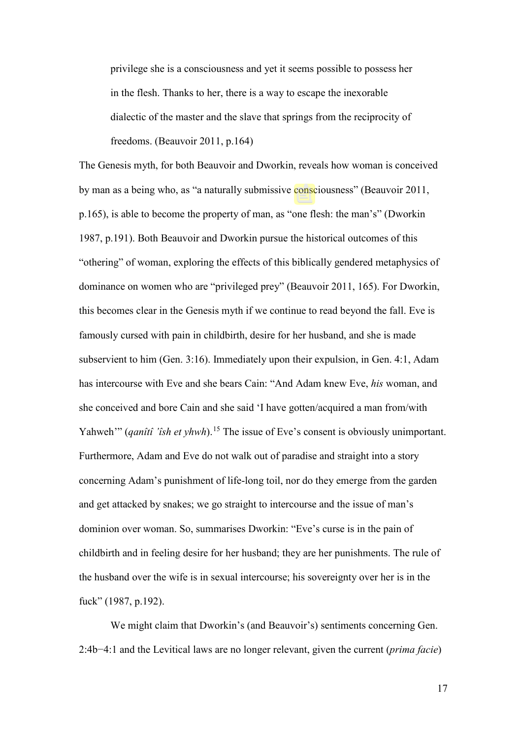privilege she is a consciousness and yet it seems possible to possess her in the flesh. Thanks to her, there is a way to escape the inexorable dialectic of the master and the slave that springs from the reciprocity of freedoms. (Beauvoir 2011, p.164)

The Genesis myth, for both Beauvoir and Dworkin, reveals how woman is conceived by man as a being who, as "a naturally submissive consciousness" (Beauvoir 2011, p.165), is able to become the property of man, as "one flesh: the man's" (Dworkin 1987, p.191). Both Beauvoir and Dworkin pursue the historical outcomes of this "othering" of woman, exploring the effects of this biblically gendered metaphysics of dominance on women who are "privileged prey" (Beauvoir 2011, 165). For Dworkin, this becomes clear in the Genesis myth if we continue to read beyond the fall. Eve is famously cursed with pain in childbirth, desire for her husband, and she is made subservient to him (Gen. 3:16). Immediately upon their expulsion, in Gen. 4:1, Adam has intercourse with Eve and she bears Cain: "And Adam knew Eve, *his* woman, and she conceived and bore Cain and she said 'I have gotten/acquired a man from/with Yahweh'" *(qanîtî 'îsh et yhwh*).<sup>[15](#page-24-2)</sup> The issue of Eve's consent is obviously unimportant. Furthermore, Adam and Eve do not walk out of paradise and straight into a story concerning Adam's punishment of life-long toil, nor do they emerge from the garden and get attacked by snakes; we go straight to intercourse and the issue of man's dominion over woman. So, summarises Dworkin: "Eve's curse is in the pain of childbirth and in feeling desire for her husband; they are her punishments. The rule of the husband over the wife is in sexual intercourse; his sovereignty over her is in the fuck" (1987, p.192).

We might claim that Dworkin's (and Beauvoir's) sentiments concerning Gen. 2:4b−4:1 and the Levitical laws are no longer relevant, given the current (*prima facie*)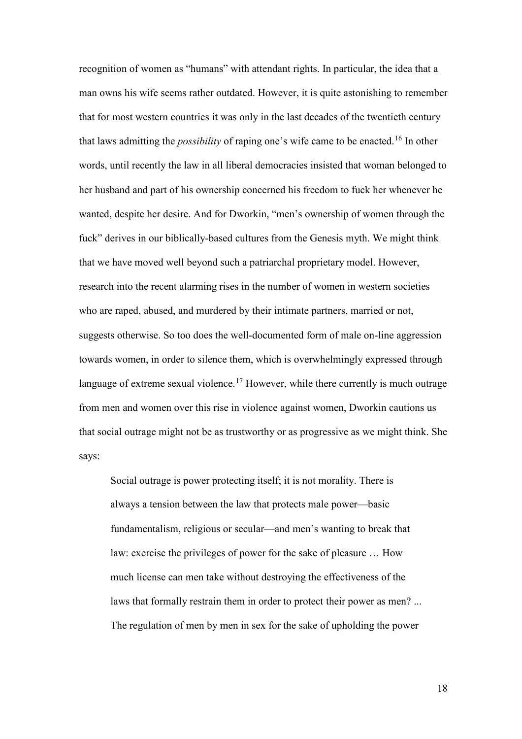recognition of women as "humans" with attendant rights. In particular, the idea that a man owns his wife seems rather outdated. However, it is quite astonishing to remember that for most western countries it was only in the last decades of the twentieth century that laws admitting the *possibility* of raping one's wife came to be enacted.[16](#page-24-3) In other words, until recently the law in all liberal democracies insisted that woman belonged to her husband and part of his ownership concerned his freedom to fuck her whenever he wanted, despite her desire. And for Dworkin, "men's ownership of women through the fuck" derives in our biblically-based cultures from the Genesis myth. We might think that we have moved well beyond such a patriarchal proprietary model. However, research into the recent alarming rises in the number of women in western societies who are raped, abused, and murdered by their intimate partners, married or not, suggests otherwise. So too does the well-documented form of male on-line aggression towards women, in order to silence them, which is overwhelmingly expressed through language of extreme sexual violence.<sup>[17](#page-24-4)</sup> However, while there currently is much outrage from men and women over this rise in violence against women, Dworkin cautions us that social outrage might not be as trustworthy or as progressive as we might think. She says:

Social outrage is power protecting itself; it is not morality. There is always a tension between the law that protects male power—basic fundamentalism, religious or secular—and men's wanting to break that law: exercise the privileges of power for the sake of pleasure … How much license can men take without destroying the effectiveness of the laws that formally restrain them in order to protect their power as men? ... The regulation of men by men in sex for the sake of upholding the power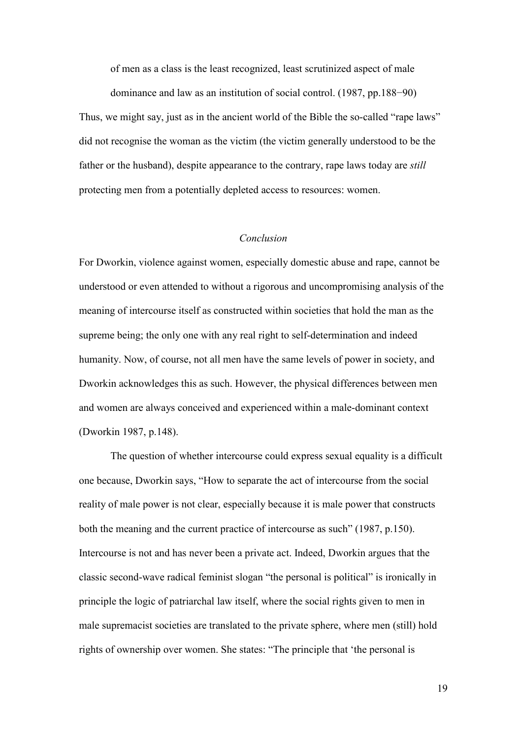of men as a class is the least recognized, least scrutinized aspect of male dominance and law as an institution of social control. (1987, pp.188−90)

Thus, we might say, just as in the ancient world of the Bible the so-called "rape laws" did not recognise the woman as the victim (the victim generally understood to be the father or the husband), despite appearance to the contrary, rape laws today are *still* protecting men from a potentially depleted access to resources: women.

## *Conclusion*

For Dworkin, violence against women, especially domestic abuse and rape, cannot be understood or even attended to without a rigorous and uncompromising analysis of the meaning of intercourse itself as constructed within societies that hold the man as the supreme being; the only one with any real right to self-determination and indeed humanity. Now, of course, not all men have the same levels of power in society, and Dworkin acknowledges this as such. However, the physical differences between men and women are always conceived and experienced within a male-dominant context (Dworkin 1987, p.148).

The question of whether intercourse could express sexual equality is a difficult one because, Dworkin says, "How to separate the act of intercourse from the social reality of male power is not clear, especially because it is male power that constructs both the meaning and the current practice of intercourse as such" (1987, p.150). Intercourse is not and has never been a private act. Indeed, Dworkin argues that the classic second-wave radical feminist slogan "the personal is political" is ironically in principle the logic of patriarchal law itself, where the social rights given to men in male supremacist societies are translated to the private sphere, where men (still) hold rights of ownership over women. She states: "The principle that 'the personal is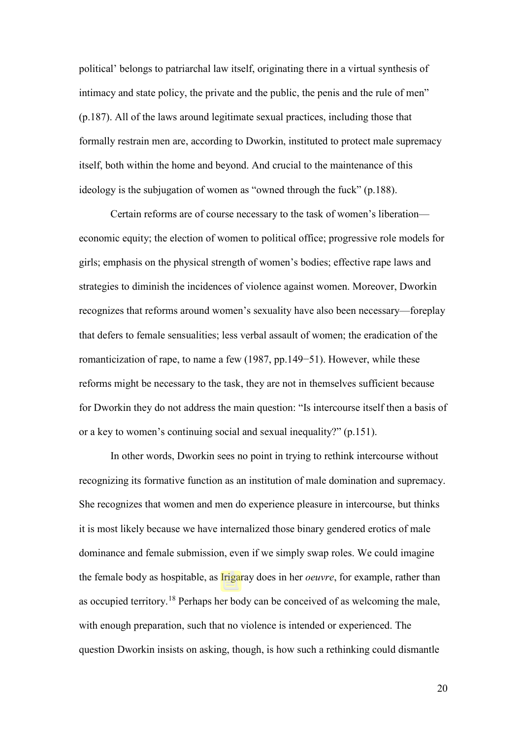political' belongs to patriarchal law itself, originating there in a virtual synthesis of intimacy and state policy, the private and the public, the penis and the rule of men" (p.187). All of the laws around legitimate sexual practices, including those that formally restrain men are, according to Dworkin, instituted to protect male supremacy itself, both within the home and beyond. And crucial to the maintenance of this ideology is the subjugation of women as "owned through the fuck" (p.188).

Certain reforms are of course necessary to the task of women's liberation economic equity; the election of women to political office; progressive role models for girls; emphasis on the physical strength of women's bodies; effective rape laws and strategies to diminish the incidences of violence against women. Moreover, Dworkin recognizes that reforms around women's sexuality have also been necessary—foreplay that defers to female sensualities; less verbal assault of women; the eradication of the romanticization of rape, to name a few (1987, pp.149−51). However, while these reforms might be necessary to the task, they are not in themselves sufficient because for Dworkin they do not address the main question: "Is intercourse itself then a basis of or a key to women's continuing social and sexual inequality?" (p.151).

In other words, Dworkin sees no point in trying to rethink intercourse without recognizing its formative function as an institution of male domination and supremacy. She recognizes that women and men do experience pleasure in intercourse, but thinks it is most likely because we have internalized those binary gendered erotics of male dominance and female submission, even if we simply swap roles. We could imagine the female body as hospitable, as Irigaray does in her *oeuvre*, for example, rather than as occupied territory.[18](#page-24-5) Perhaps her body can be conceived of as welcoming the male, with enough preparation, such that no violence is intended or experienced. The question Dworkin insists on asking, though, is how such a rethinking could dismantle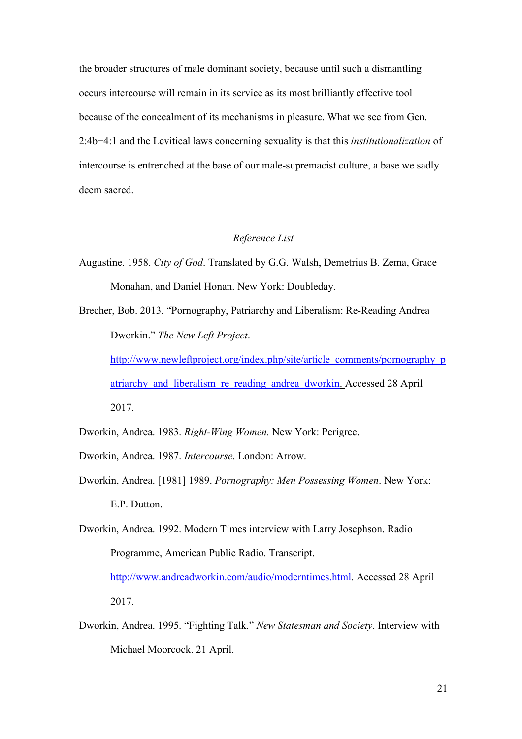the broader structures of male dominant society, because until such a dismantling occurs intercourse will remain in its service as its most brilliantly effective tool because of the concealment of its mechanisms in pleasure. What we see from Gen. 2:4b−4:1 and the Levitical laws concerning sexuality is that this *institutionalization* of intercourse is entrenched at the base of our male-supremacist culture, a base we sadly deem sacred.

#### *Reference List*

- Augustine. 1958. *City of God*. Translated by G.G. Walsh, Demetrius B. Zema, Grace Monahan, and Daniel Honan. New York: Doubleday.
- Brecher, Bob. 2013. "Pornography, Patriarchy and Liberalism: Re-Reading Andrea Dworkin." *The New Left Project*. [http://www.newleftproject.org/index.php/site/article\\_comments/pornography\\_p](http://www.newleftproject.org/index.php/site/article_comments/pornography_patriarchy_and_liberalism_re_reading_andrea_dworkin) atriarchy and liberalism re reading andrea dworkin. Accessed 28 April 2017.
- Dworkin, Andrea. 1983. *Right-Wing Women.* New York: Perigree.
- Dworkin, Andrea. 1987. *Intercourse*. London: Arrow.
- Dworkin, Andrea. [1981] 1989. *Pornography: Men Possessing Women*. New York: E.P. Dutton.

Dworkin, Andrea. 1992. Modern Times interview with Larry Josephson. Radio Programme, American Public Radio. Transcript. [http://www.andreadworkin.com/audio/moderntimes.html.](http://www.andreadworkin.com/audio/moderntimes.html) Accessed 28 April 2017.

Dworkin, Andrea. 1995. "Fighting Talk." *New Statesman and Society*. Interview with Michael Moorcock. 21 April.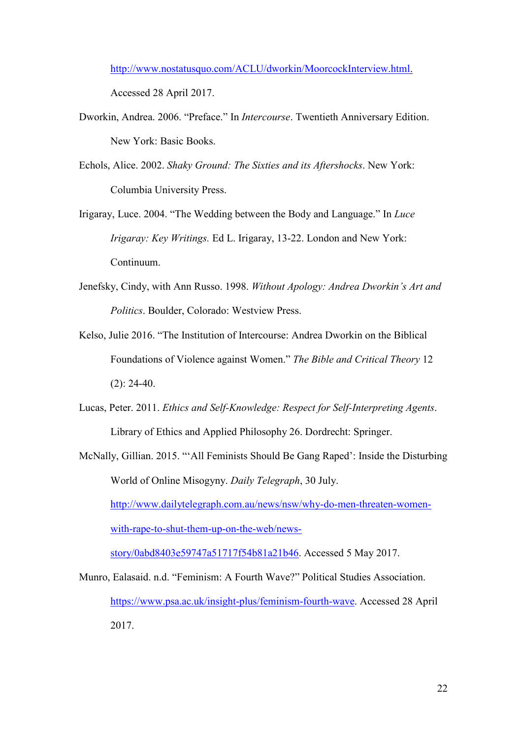[http://www.nostatusquo.com/ACLU/dworkin/MoorcockInterview.html.](http://www.nostatusquo.com/ACLU/dworkin/MoorcockInterview.html)

Accessed 28 April 2017.

- Dworkin, Andrea. 2006. "Preface." In *Intercourse*. Twentieth Anniversary Edition. New York: Basic Books.
- Echols, Alice. 2002. *Shaky Ground: The Sixties and its Aftershocks*. New York: Columbia University Press.
- Irigaray, Luce. 2004. "The Wedding between the Body and Language." In *Luce Irigaray: Key Writings.* Ed L. Irigaray, 13-22. London and New York: Continuum.
- Jenefsky, Cindy, with Ann Russo. 1998. *Without Apology: Andrea Dworkin's Art and Politics*. Boulder, Colorado: Westview Press.
- Kelso, Julie 2016. "The Institution of Intercourse: Andrea Dworkin on the Biblical Foundations of Violence against Women." *The Bible and Critical Theory* 12  $(2): 24-40.$
- Lucas, Peter. 2011. *Ethics and Self-Knowledge: Respect for Self-Interpreting Agents*. Library of Ethics and Applied Philosophy 26. Dordrecht: Springer.
- McNally, Gillian. 2015. "'All Feminists Should Be Gang Raped': Inside the Disturbing World of Online Misogyny. *Daily Telegraph*, 30 July. [http://www.dailytelegraph.com.au/news/nsw/why-do-men-threaten-women](http://www.dailytelegraph.com.au/news/nsw/why-do-men-threaten-women-with-rape-to-shut-them-up-on-the-web/news-story/0abd8403e59747a51717f54b81a21b46)[with-rape-to-shut-them-up-on-the-web/news](http://www.dailytelegraph.com.au/news/nsw/why-do-men-threaten-women-with-rape-to-shut-them-up-on-the-web/news-story/0abd8403e59747a51717f54b81a21b46)[story/0abd8403e59747a51717f54b81a21b46.](http://www.dailytelegraph.com.au/news/nsw/why-do-men-threaten-women-with-rape-to-shut-them-up-on-the-web/news-story/0abd8403e59747a51717f54b81a21b46) Accessed 5 May 2017.
- Munro, Ealasaid. n.d. "Feminism: A Fourth Wave?" Political Studies Association. [https://www.psa.ac.uk/insight-plus/feminism-fourth-wave.](https://www.psa.ac.uk/insight-plus/feminism-fourth-wave) Accessed 28 April 2017.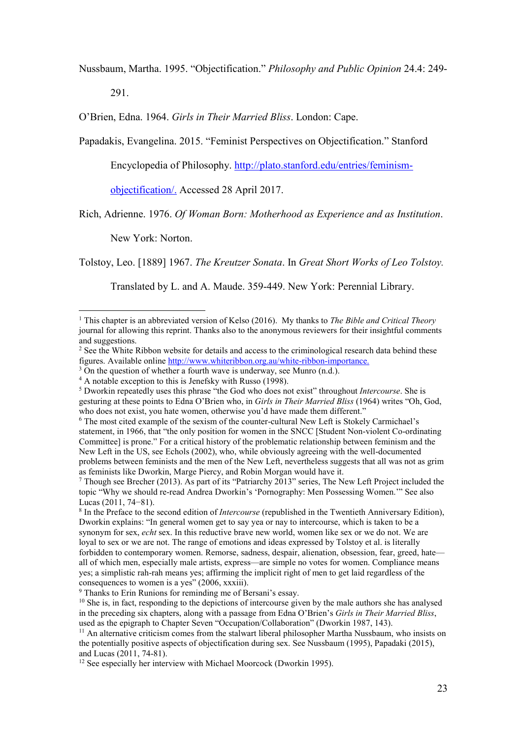Nussbaum, Martha. 1995. "Objectification." *Philosophy and Public Opinion* 24.4: 249-

291.

-

O'Brien, Edna. 1964. *Girls in Their Married Bliss*. London: Cape.

Papadakis, Evangelina. 2015. "Feminist Perspectives on Objectification." Stanford

Encyclopedia of Philosophy. [http://plato.stanford.edu/entries/feminism-](http://plato.stanford.edu/entries/feminism-objectification/)

[objectification/.](http://plato.stanford.edu/entries/feminism-objectification/) Accessed 28 April 2017.

Rich, Adrienne. 1976. *Of Woman Born: Motherhood as Experience and as Institution*.

New York: Norton.

Tolstoy, Leo. [1889] 1967. *The Kreutzer Sonata*. In *Great Short Works of Leo Tolstoy.* 

Translated by L. and A. Maude. 359-449. New York: Perennial Library.

<span id="page-23-0"></span><sup>1</sup> This chapter is an abbreviated version of Kelso (2016). My thanks to *The Bible and Critical Theory* journal for allowing this reprint. Thanks also to the anonymous reviewers for their insightful comments and suggestions.

<span id="page-23-1"></span><sup>&</sup>lt;sup>2</sup> See the White Ribbon website for details and access to the criminological research data behind these figures. Available online [http://www.whiteribbon.org.au/white-ribbon-importance.](http://www.whiteribbon.org.au/white-ribbon-importance)

<span id="page-23-2"></span> $3$  On the question of whether a fourth wave is underway, see Munro (n.d.).

<span id="page-23-3"></span><sup>&</sup>lt;sup>4</sup> A notable exception to this is Jenefsky with Russo (1998).

<span id="page-23-4"></span><sup>5</sup> Dworkin repeatedly uses this phrase "the God who does not exist" throughout *Intercourse*. She is gesturing at these points to Edna O'Brien who, in *Girls in Their Married Bliss* (1964) writes "Oh, God, who does not exist, you hate women, otherwise you'd have made them different."

<span id="page-23-5"></span><sup>6</sup> The most cited example of the sexism of the counter-cultural New Left is Stokely Carmichael's statement, in 1966, that "the only position for women in the SNCC [Student Non-violent Co-ordinating Committee] is prone." For a critical history of the problematic relationship between feminism and the New Left in the US, see Echols (2002), who, while obviously agreeing with the well-documented problems between feminists and the men of the New Left, nevertheless suggests that all was not as grim

<span id="page-23-6"></span><sup>&</sup>lt;sup>7</sup> Though see Brecher (2013). As part of its "Patriarchy 2013" series, The New Left Project included the topic "Why we should re-read Andrea Dworkin's 'Pornography: Men Possessing Women.'" See also Lucas (2011, 74−81).

<span id="page-23-7"></span><sup>8</sup> In the Preface to the second edition of *Intercourse* (republished in the Twentieth Anniversary Edition), Dworkin explains: "In general women get to say yea or nay to intercourse, which is taken to be a synonym for sex, *echt* sex. In this reductive brave new world, women like sex or we do not. We are loyal to sex or we are not. The range of emotions and ideas expressed by Tolstoy et al. is literally forbidden to contemporary women. Remorse, sadness, despair, alienation, obsession, fear, greed, hate all of which men, especially male artists, express—are simple no votes for women. Compliance means yes; a simplistic rah-rah means yes; affirming the implicit right of men to get laid regardless of the consequences to women is a yes" (2006, xxxiii).

<span id="page-23-8"></span><sup>&</sup>lt;sup>9</sup> Thanks to Erin Runions for reminding me of Bersani's essay.

<span id="page-23-9"></span><sup>&</sup>lt;sup>10</sup> She is, in fact, responding to the depictions of intercourse given by the male authors she has analysed in the preceding six chapters, along with a passage from Edna O'Brien's *Girls in Their Married Bliss*, used as the epigraph to Chapter Seven "Occupation/Collaboration" (Dworkin 1987, 143).

<span id="page-23-10"></span><sup>&</sup>lt;sup>11</sup> An alternative criticism comes from the stalwart liberal philosopher Martha Nussbaum, who insists on the potentially positive aspects of objectification during sex. See Nussbaum (1995), Papadaki (2015), and Lucas (2011, 74-81).

<span id="page-23-11"></span><sup>&</sup>lt;sup>12</sup> See especially her interview with Michael Moorcock (Dworkin 1995).